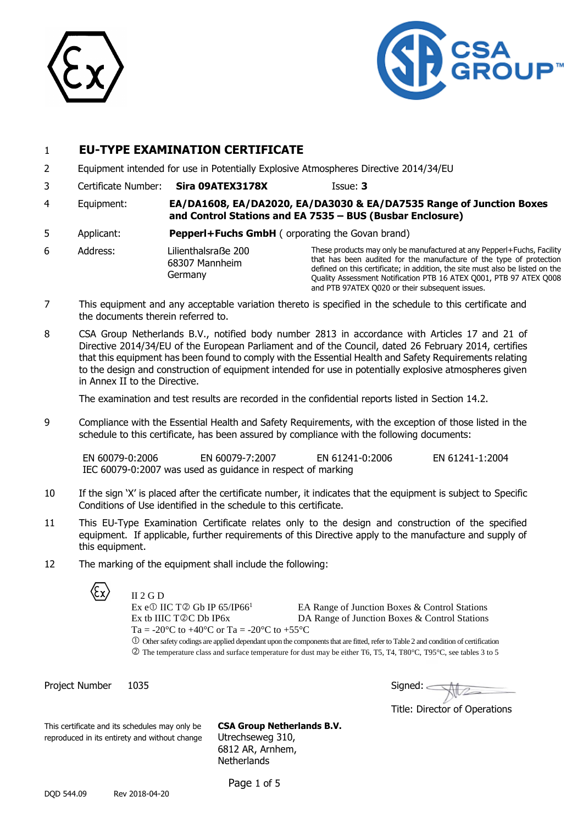



## 1 **EU-TYPE EXAMINATION CERTIFICATE**

- 2 Equipment intended for use in Potentially Explosive Atmospheres Directive 2014/34/EU
- 3 Certificate Number: **Sira 09ATEX3178X** Issue: **3**

- 4 Equipment: **EA/DA1608, EA/DA2020, EA/DA3030 & EA/DA7535 Range of Junction Boxes and Control Stations and EA 7535 – BUS (Busbar Enclosure)**
- 5 Applicant: **Pepperl+Fuchs GmbH** ( orporating the Govan brand)
- 6 Address: Lilienthalsraẞe 200 68307 Mannheim Germany

These products may only be manufactured at any Pepperl+Fuchs, Facility that has been audited for the manufacture of the type of protection defined on this certificate; in addition, the site must also be listed on the Quality Assessment Notification PTB 16 ATEX Q001, PTB 97 ATEX Q008 and PTB 97ATEX Q020 or their subsequent issues.

- 7 This equipment and any acceptable variation thereto is specified in the schedule to this certificate and the documents therein referred to.
- 8 CSA Group Netherlands B.V., notified body number 2813 in accordance with Articles 17 and 21 of Directive 2014/34/EU of the European Parliament and of the Council, dated 26 February 2014, certifies that this equipment has been found to comply with the Essential Health and Safety Requirements relating to the design and construction of equipment intended for use in potentially explosive atmospheres given in Annex II to the Directive.

The examination and test results are recorded in the confidential reports listed in Section 14.2.

9 Compliance with the Essential Health and Safety Requirements, with the exception of those listed in the schedule to this certificate, has been assured by compliance with the following documents:

EN 60079-0:2006 EN 60079-7:2007 EN 61241-0:2006 EN 61241-1:2004 IEC 60079-0:2007 was used as guidance in respect of marking

- 10 If the sign 'X' is placed after the certificate number, it indicates that the equipment is subject to Specific Conditions of Use identified in the schedule to this certificate.
- 11 This EU-Type Examination Certificate relates only to the design and construction of the specified equipment. If applicable, further requirements of this Directive apply to the manufacture and supply of this equipment.
- 12 The marking of the equipment shall include the following:

II 2 G D



Ex e $\circ$  IIC T $\circ$  Gb IP 65/IP66<sup>1</sup> EA Range of Junction Boxes & Control Stations Ex tb IIIC T©C Db IP6x DA Range of Junction Boxes & Control Stations Ta = -20 $^{\circ}$ C to +40 $^{\circ}$ C or Ta = -20 $^{\circ}$ C to +55 $^{\circ}$ C

 Other safety codings are applied dependant upon the components that are fitted, refer to Table 2 and condition of certification The temperature class and surface temperature for dust may be either T6, T5, T4, T80°C, T95°C, see tables 3 to 5

Project Number 1035 and the state of the Signed:

Title: Director of Operations

This certificate and its schedules may only be **CSA Group Netherlands B.V.** reproduced in its entirety and without change Utrechseweg 310,

6812 AR, Arnhem, **Netherlands** 

DQD 544.09 Rev 2018-04-20

Page 1 of 5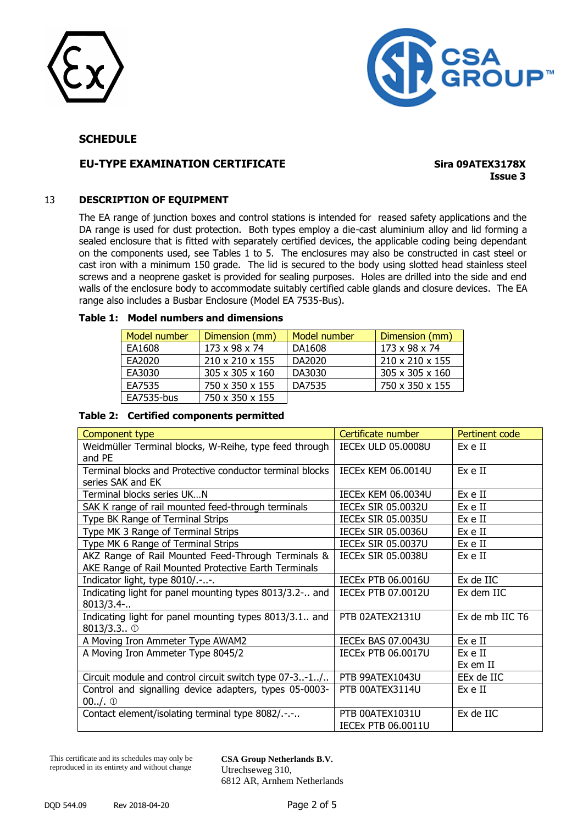



## **EU-TYPE EXAMINATION CERTIFICATE Sira 09ATEX3178X**

**Issue 3**

#### 13 **DESCRIPTION OF EQUIPMENT**

The EA range of junction boxes and control stations is intended for reased safety applications and the DA range is used for dust protection. Both types employ a die-cast aluminium alloy and lid forming a sealed enclosure that is fitted with separately certified devices, the applicable coding being dependant on the components used, see Tables 1 to 5. The enclosures may also be constructed in cast steel or cast iron with a minimum 150 grade. The lid is secured to the body using slotted head stainless steel screws and a neoprene gasket is provided for sealing purposes. Holes are drilled into the side and end walls of the enclosure body to accommodate suitably certified cable glands and closure devices. The EA range also includes a Busbar Enclosure (Model EA 7535-Bus).

#### **Table 1: Model numbers and dimensions**

| Model number | Dimension (mm)              | Model number | Dimension (mm)  |
|--------------|-----------------------------|--------------|-----------------|
| EA1608       | 173 x 98 x 74               | DA1608       | 173 x 98 x 74   |
| EA2020       | $210 \times 210 \times 155$ | DA2020       | 210 x 210 x 155 |
| EA3030       | $305 \times 305 \times 160$ | DA3030       | 305 x 305 x 160 |
| EA7535       | 750 x 350 x 155             | DA7535       | 750 x 350 x 155 |
| EA7535-bus   | 750 x 350 x 155             |              |                 |

### **Table 2: Certified components permitted**

| Component type                                           | Certificate number        | Pertinent code  |
|----------------------------------------------------------|---------------------------|-----------------|
| Weidmüller Terminal blocks, W-Reihe, type feed through   | <b>IECEX ULD 05.0008U</b> | Ex e II         |
| and PE                                                   |                           |                 |
| Terminal blocks and Protective conductor terminal blocks | <b>IECEX KEM 06.0014U</b> | Ex e II         |
| series SAK and EK                                        |                           |                 |
| Terminal blocks series UKN                               | <b>IECEX KEM 06.0034U</b> | Ex e II         |
| SAK K range of rail mounted feed-through terminals       | <b>IECEX SIR 05.0032U</b> | Ex e II         |
| Type BK Range of Terminal Strips                         | <b>IECEX SIR 05.0035U</b> | Ex e II         |
| Type MK 3 Range of Terminal Strips                       | <b>IECEX SIR 05.0036U</b> | Ex e II         |
| Type MK 6 Range of Terminal Strips                       | <b>IECEX SIR 05.0037U</b> | Ex e II         |
| AKZ Range of Rail Mounted Feed-Through Terminals &       | <b>IECEX SIR 05.0038U</b> | Ex e II         |
| AKE Range of Rail Mounted Protective Earth Terminals     |                           |                 |
| Indicator light, type 8010/.--.                          | <b>IECEX PTB 06.0016U</b> | Ex de IIC       |
| Indicating light for panel mounting types 8013/3.2- and  | <b>IECEX PTB 07.0012U</b> | Ex dem IIC      |
| 8013/3.4                                                 |                           |                 |
| Indicating light for panel mounting types 8013/3.1 and   | PTB 02ATEX2131U           | Ex de mb IIC T6 |
| $8013/3.3.$ 0                                            |                           |                 |
| A Moving Iron Ammeter Type AWAM2                         | <b>IECEX BAS 07.0043U</b> | Ex e II         |
| A Moving Iron Ammeter Type 8045/2                        | <b>IECEX PTB 06.0017U</b> | Ex e II         |
|                                                          |                           | Ex em II        |
| Circuit module and control circuit switch type 07-3-1/   | PTB 99ATEX1043U           | EEx de IIC      |
| Control and signalling device adapters, types 05-0003-   | PTB 00ATEX3114U           | Ex e II         |
| $00.1.$ $\circ$                                          |                           |                 |
| Contact element/isolating terminal type 8082/.-.-        | PTB 00ATEX1031U           | Ex de IIC       |
|                                                          | <b>IECEX PTB 06.0011U</b> |                 |

This certificate and its schedules may only be reproduced in its entirety and without change

**CSA Group Netherlands B.V.** Utrechseweg 310, 6812 AR, Arnhem Netherlands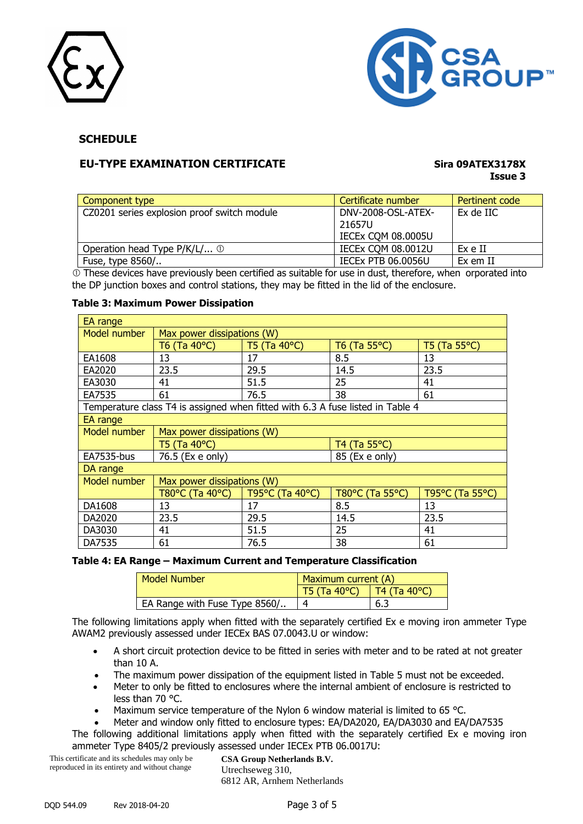



## **EU-TYPE EXAMINATION CERTIFICATE Sira 09ATEX3178X**

# **Issue 3**

| Component type                              | Certificate number        | Pertinent code |
|---------------------------------------------|---------------------------|----------------|
| CZ0201 series explosion proof switch module | DNV-2008-OSL-ATEX-        | Ex de IIC      |
|                                             | 21657U                    |                |
|                                             | IECEX COM 08.0005U        |                |
| Operation head Type P/K/L/ 1                | <b>IECEX COM 08.0012U</b> | Ex e II        |
| Fuse, type 8560/                            | <b>IECEX PTB 06.0056U</b> | Ex em II       |

 $\overline{0}$  These devices have previously been certified as suitable for use in dust, therefore, when orporated into the DP junction boxes and control stations, they may be fitted in the lid of the enclosure.

#### **Table 3: Maximum Power Dissipation**

| EA range     |                                                                                |                 |                 |                 |  |
|--------------|--------------------------------------------------------------------------------|-----------------|-----------------|-----------------|--|
| Model number | Max power dissipations (W)                                                     |                 |                 |                 |  |
|              | T6 (Ta 40°C)                                                                   | T5 (Ta 40°C)    | T6 (Ta 55°C)    | T5 (Ta 55°C)    |  |
| EA1608       | 13                                                                             | 17              | 8.5             | 13              |  |
| EA2020       | 23.5                                                                           | 29.5            | 14.5            | 23.5            |  |
| EA3030       | 41                                                                             | 51.5            | 25              | 41              |  |
| EA7535       | 61                                                                             | 76.5            | 38              | 61              |  |
|              | Temperature class T4 is assigned when fitted with 6.3 A fuse listed in Table 4 |                 |                 |                 |  |
| EA range     |                                                                                |                 |                 |                 |  |
| Model number | Max power dissipations (W)                                                     |                 |                 |                 |  |
|              | T5 (Ta 40°C)                                                                   |                 | T4 (Ta 55°C)    |                 |  |
| EA7535-bus   | 76.5 (Ex e only)                                                               |                 | 85 (Ex e only)  |                 |  |
| DA range     |                                                                                |                 |                 |                 |  |
| Model number | Max power dissipations (W)                                                     |                 |                 |                 |  |
|              | T80°C (Ta 40°C)                                                                | T95°C (Ta 40°C) | T80°C (Ta 55°C) | T95°C (Ta 55°C) |  |
| DA1608       | 17<br>13                                                                       |                 | 8.5             | 13              |  |
| DA2020       | 29.5<br>23.5                                                                   |                 | 14.5            | 23.5            |  |
| DA3030       | 41<br>51.5                                                                     |                 | 25              | 41              |  |
| DA7535       | 61<br>76.5                                                                     |                 | 38              | 61              |  |

#### **Table 4: EA Range – Maximum Current and Temperature Classification**

| <b>Model Number</b>           | Maximum current (A) |              |  |
|-------------------------------|---------------------|--------------|--|
|                               | T5(Ta 40°C)         | T4 (Ta 40°C) |  |
| EA Range with Fuse Type 8560/ |                     | 6.3          |  |

The following limitations apply when fitted with the separately certified Ex e moving iron ammeter Type AWAM2 previously assessed under IECEx BAS 07.0043.U or window:

- A short circuit protection device to be fitted in series with meter and to be rated at not greater than 10 A.
- The maximum power dissipation of the equipment listed in Table 5 must not be exceeded.
- Meter to only be fitted to enclosures where the internal ambient of enclosure is restricted to less than 70 °C.
- Maximum service temperature of the Nylon 6 window material is limited to 65 °C.

Meter and window only fitted to enclosure types: EA/DA2020, EA/DA3030 and EA/DA7535

The following additional limitations apply when fitted with the separately certified Ex e moving iron ammeter Type 8405/2 previously assessed under IECEx PTB 06.0017U:

This certificate and its schedules may only be reproduced in its entirety and without change

**CSA Group Netherlands B.V.** Utrechseweg 310, 6812 AR, Arnhem Netherlands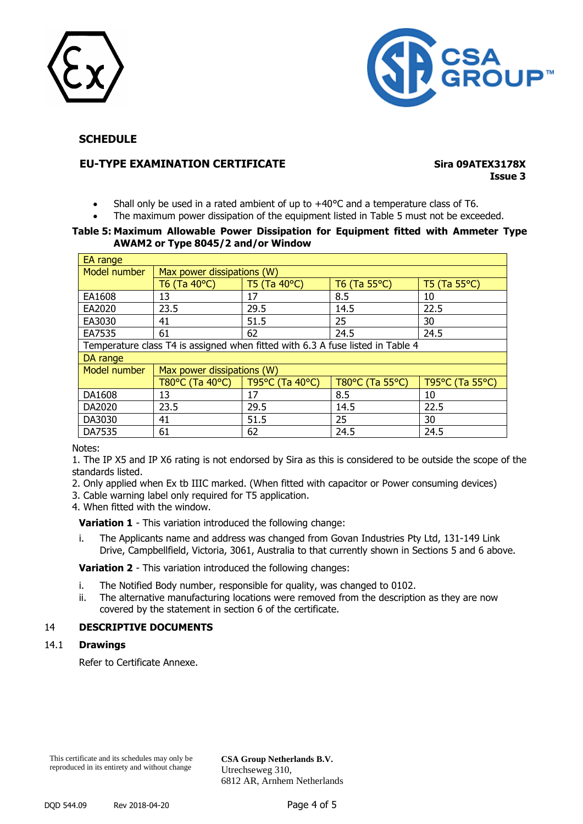



## **EU-TYPE EXAMINATION CERTIFICATE Sira 09ATEX3178X**

# **Issue 3**

- Shall only be used in a rated ambient of up to +40°C and a temperature class of T6.
- The maximum power dissipation of the equipment listed in Table 5 must not be exceeded.

#### **Table 5: Maximum Allowable Power Dissipation for Equipment fitted with Ammeter Type AWAM2 or Type 8045/2 and/or Window**

| EA range                                                                       |                            |                 |                        |                        |  |
|--------------------------------------------------------------------------------|----------------------------|-----------------|------------------------|------------------------|--|
| Model number                                                                   | Max power dissipations (W) |                 |                        |                        |  |
|                                                                                | T6 (Ta 40°C)               | T5 (Ta 40°C)    | T6 (Ta $55^{\circ}$ C) | T5 (Ta $55^{\circ}$ C) |  |
| EA1608                                                                         | 13                         | 17              | 8.5                    | 10                     |  |
| EA2020                                                                         | 23.5                       | 29.5            | 14.5                   | 22.5                   |  |
| EA3030                                                                         | 41                         | 51.5            | 25                     | 30                     |  |
| EA7535                                                                         | 61                         | 62              | 24.5                   | 24.5                   |  |
| Temperature class T4 is assigned when fitted with 6.3 A fuse listed in Table 4 |                            |                 |                        |                        |  |
| DA range                                                                       |                            |                 |                        |                        |  |
| Model number                                                                   | Max power dissipations (W) |                 |                        |                        |  |
|                                                                                | T80°C (Ta 40°C)            | T95°C (Ta 40°C) | T80°C (Ta 55°C)        | T95°C (Ta 55°C)        |  |
| DA1608                                                                         | 13                         | 17              | 8.5                    | 10                     |  |
| DA2020                                                                         | 23.5                       | 29.5            | 14.5                   | 22.5                   |  |
| DA3030                                                                         | 41                         | 51.5            | 25                     | 30                     |  |
| DA7535                                                                         | 61                         | 62              | 24.5                   | 24.5                   |  |

Notes:

1. The IP X5 and IP X6 rating is not endorsed by Sira as this is considered to be outside the scope of the standards listed.

2. Only applied when Ex tb IIIC marked. (When fitted with capacitor or Power consuming devices)

3. Cable warning label only required for T5 application.

4. When fitted with the window.

**Variation 1** - This variation introduced the following change:

i. The Applicants name and address was changed from Govan Industries Pty Ltd, 131-149 Link Drive, Campbellfield, Victoria, 3061, Australia to that currently shown in Sections 5 and 6 above.

**Variation 2** - This variation introduced the following changes:

- i. The Notified Body number, responsible for quality, was changed to 0102.
- ii. The alternative manufacturing locations were removed from the description as they are now covered by the statement in section 6 of the certificate.

### 14 **DESCRIPTIVE DOCUMENTS**

#### 14.1 **Drawings**

Refer to Certificate Annexe.

This certificate and its schedules may only be reproduced in its entirety and without change

**CSA Group Netherlands B.V.** Utrechseweg 310, 6812 AR, Arnhem Netherlands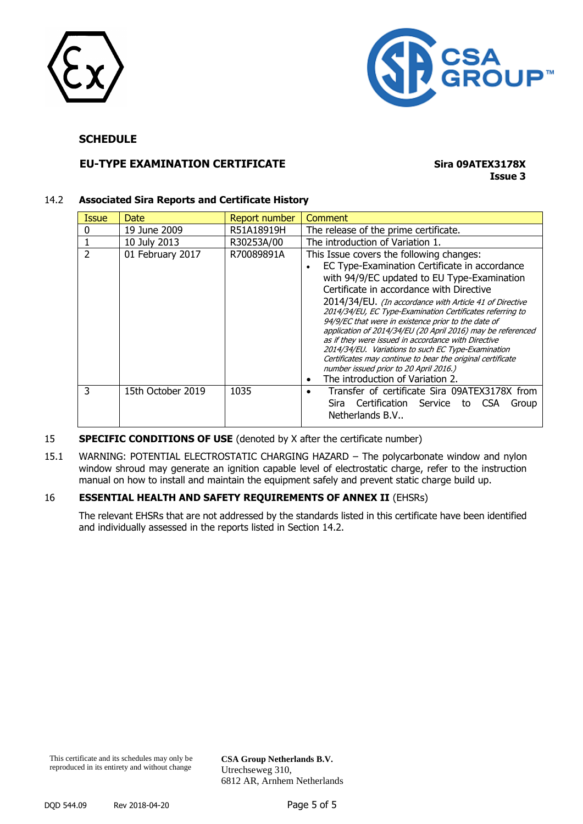



## **EU-TYPE EXAMINATION CERTIFICATE Sira 09ATEX3178X**

## **Issue 3**

#### 14.2 **Associated Sira Reports and Certificate History**

| 19 June 2009<br>R51A18919H<br>The release of the prime certificate.                                                |       |
|--------------------------------------------------------------------------------------------------------------------|-------|
|                                                                                                                    |       |
| 10 July 2013<br>R30253A/00<br>The introduction of Variation 1.                                                     |       |
| 01 February 2017<br>R70089891A<br>This Issue covers the following changes:                                         |       |
| EC Type-Examination Certificate in accordance                                                                      |       |
| with 94/9/EC updated to EU Type-Examination                                                                        |       |
| Certificate in accordance with Directive                                                                           |       |
| 2014/34/EU. (In accordance with Article 41 of Directive                                                            |       |
| 2014/34/EU, EC Type-Examination Certificates referring to                                                          |       |
| 94/9/EC that were in existence prior to the date of<br>application of 2014/34/EU (20 April 2016) may be referenced |       |
| as if they were issued in accordance with Directive                                                                |       |
| 2014/34/EU. Variations to such EC Type-Examination                                                                 |       |
| Certificates may continue to bear the original certificate                                                         |       |
| number issued prior to 20 April 2016.)<br>The introduction of Variation 2.<br>٠                                    |       |
| 1035<br>3<br>Transfer of certificate Sira 09ATEX3178X from<br>15th October 2019                                    |       |
| Sira Certification Service to CSA                                                                                  | Group |
| Netherlands B.V                                                                                                    |       |

#### **SPECIFIC CONDITIONS OF USE** (denoted by X after the certificate number)

15.1 WARNING: POTENTIAL ELECTROSTATIC CHARGING HAZARD – The polycarbonate window and nylon window shroud may generate an ignition capable level of electrostatic charge, refer to the instruction manual on how to install and maintain the equipment safely and prevent static charge build up.

### 16 **ESSENTIAL HEALTH AND SAFETY REQUIREMENTS OF ANNEX II** (EHSRs)

The relevant EHSRs that are not addressed by the standards listed in this certificate have been identified and individually assessed in the reports listed in Section 14.2.